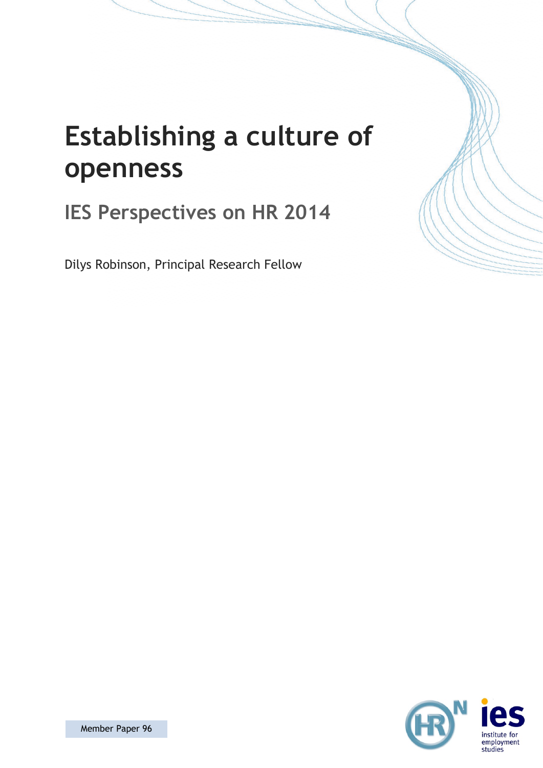

# **Establishing a culture of openness**

# **IES Perspectives on HR 2014**

Dilys Robinson, Principal Research Fellow

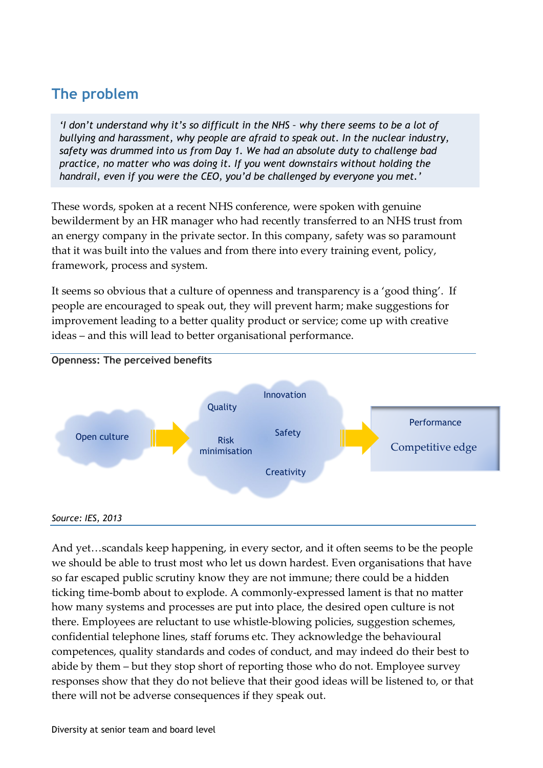# **The problem**

*'I don't understand why it's so difficult in the NHS – why there seems to be a lot of bullying and harassment, why people are afraid to speak out. In the nuclear industry, safety was drummed into us from Day 1. We had an absolute duty to challenge bad practice, no matter who was doing it. If you went downstairs without holding the handrail, even if you were the CEO, you'd be challenged by everyone you met.'*

These words, spoken at a recent NHS conference, were spoken with genuine bewilderment by an HR manager who had recently transferred to an NHS trust from an energy company in the private sector. In this company, safety was so paramount that it was built into the values and from there into every training event, policy, framework, process and system.

It seems so obvious that a culture of openness and transparency is a 'good thing'. If people are encouraged to speak out, they will prevent harm; make suggestions for improvement leading to a better quality product or service; come up with creative ideas – and this will lead to better organisational performance.



And yet…scandals keep happening, in every sector, and it often seems to be the people we should be able to trust most who let us down hardest. Even organisations that have so far escaped public scrutiny know they are not immune; there could be a hidden ticking time-bomb about to explode. A commonly-expressed lament is that no matter how many systems and processes are put into place, the desired open culture is not there. Employees are reluctant to use whistle-blowing policies, suggestion schemes, confidential telephone lines, staff forums etc. They acknowledge the behavioural competences, quality standards and codes of conduct, and may indeed do their best to abide by them – but they stop short of reporting those who do not. Employee survey responses show that they do not believe that their good ideas will be listened to, or that there will not be adverse consequences if they speak out.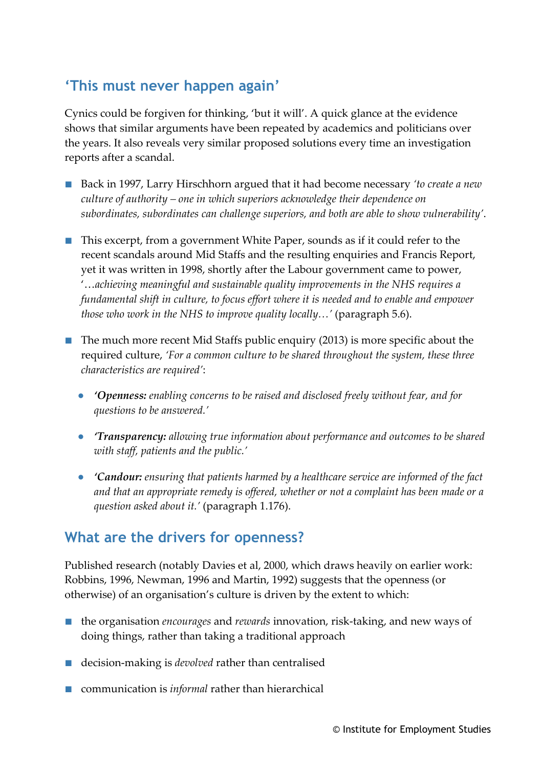## **'This must never happen again'**

Cynics could be forgiven for thinking, 'but it will'. A quick glance at the evidence shows that similar arguments have been repeated by academics and politicians over the years. It also reveals very similar proposed solutions every time an investigation reports after a scandal.

- Back in 1997, Larry Hirschhorn argued that it had become necessary *'to create a new culture of authority – one in which superiors acknowledge their dependence on subordinates, subordinates can challenge superiors, and both are able to show vulnerability'*.
- This excerpt, from a government White Paper, sounds as if it could refer to the recent scandals around Mid Staffs and the resulting enquiries and Francis Report, yet it was written in 1998, shortly after the Labour government came to power, '…*achieving meaningful and sustainable quality improvements in the NHS requires a fundamental shift in culture, to focus effort where it is needed and to enable and empower those who work in the NHS to improve quality locally…'* (paragraph 5.6).
- The much more recent Mid Staffs public enquiry (2013) is more specific about the required culture, *'For a common culture to be shared throughout the system, these three characteristics are required'*:
	- **●** *'Openness: enabling concerns to be raised and disclosed freely without fear, and for questions to be answered.'*
	- **●** *'Transparency: allowing true information about performance and outcomes to be shared with staff, patients and the public.'*
	- **●** *'Candour: ensuring that patients harmed by a healthcare service are informed of the fact and that an appropriate remedy is offered, whether or not a complaint has been made or a question asked about it.'* (paragraph 1.176).

#### **What are the drivers for openness?**

Published research (notably Davies et al, 2000, which draws heavily on earlier work: Robbins, 1996, Newman, 1996 and Martin, 1992) suggests that the openness (or otherwise) of an organisation's culture is driven by the extent to which:

- the organisation *encourages* and *rewards* innovation, risk-taking, and new ways of doing things, rather than taking a traditional approach
- decision-making is *devolved* rather than centralised
- communication is *informal* rather than hierarchical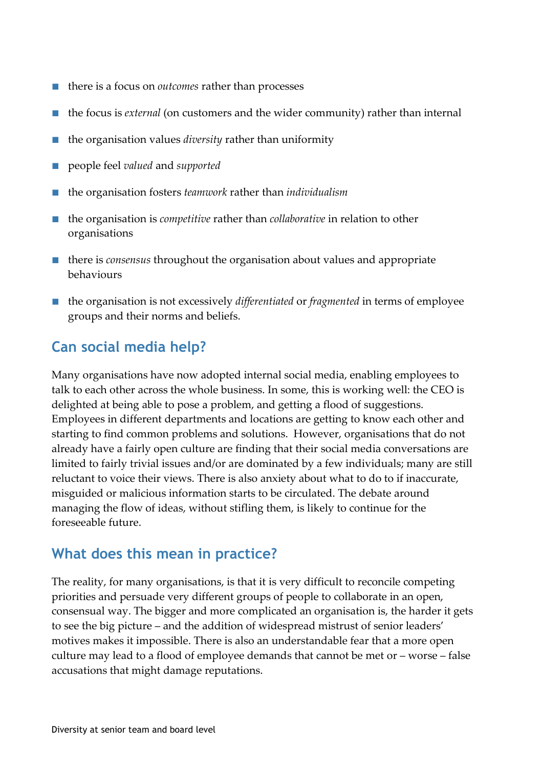- there is a focus on *outcomes* rather than processes
- the focus is *external* (on customers and the wider community) rather than internal
- the organisation values *diversity* rather than uniformity
- people feel *valued* and *supported*
- the organisation fosters *teamwork* rather than *individualism*
- the organisation is *competitive* rather than *collaborative* in relation to other organisations
- there is *consensus* throughout the organisation about values and appropriate behaviours
- the organisation is not excessively *differentiated* or *fragmented* in terms of employee groups and their norms and beliefs.

## **Can social media help?**

Many organisations have now adopted internal social media, enabling employees to talk to each other across the whole business. In some, this is working well: the CEO is delighted at being able to pose a problem, and getting a flood of suggestions. Employees in different departments and locations are getting to know each other and starting to find common problems and solutions. However, organisations that do not already have a fairly open culture are finding that their social media conversations are limited to fairly trivial issues and/or are dominated by a few individuals; many are still reluctant to voice their views. There is also anxiety about what to do to if inaccurate, misguided or malicious information starts to be circulated. The debate around managing the flow of ideas, without stifling them, is likely to continue for the foreseeable future.

#### **What does this mean in practice?**

The reality, for many organisations, is that it is very difficult to reconcile competing priorities and persuade very different groups of people to collaborate in an open, consensual way. The bigger and more complicated an organisation is, the harder it gets to see the big picture – and the addition of widespread mistrust of senior leaders' motives makes it impossible. There is also an understandable fear that a more open culture may lead to a flood of employee demands that cannot be met or – worse – false accusations that might damage reputations.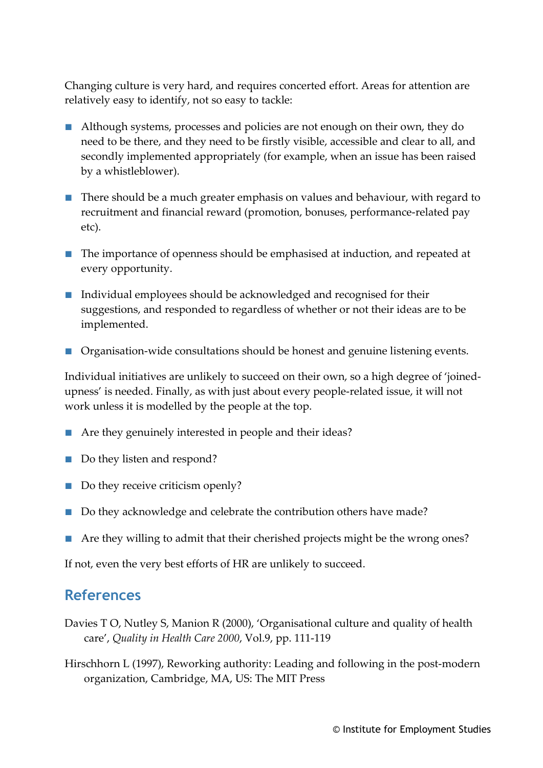Changing culture is very hard, and requires concerted effort. Areas for attention are relatively easy to identify, not so easy to tackle:

- Although systems, processes and policies are not enough on their own, they do need to be there, and they need to be firstly visible, accessible and clear to all, and secondly implemented appropriately (for example, when an issue has been raised by a whistleblower).
- There should be a much greater emphasis on values and behaviour, with regard to recruitment and financial reward (promotion, bonuses, performance-related pay etc).
- The importance of openness should be emphasised at induction, and repeated at every opportunity.
- Individual employees should be acknowledged and recognised for their suggestions, and responded to regardless of whether or not their ideas are to be implemented.
- Organisation-wide consultations should be honest and genuine listening events.

Individual initiatives are unlikely to succeed on their own, so a high degree of 'joinedupness' is needed. Finally, as with just about every people-related issue, it will not work unless it is modelled by the people at the top.

- Are they genuinely interested in people and their ideas?
- Do they listen and respond?
- Do they receive criticism openly?
- Do they acknowledge and celebrate the contribution others have made?
- Are they willing to admit that their cherished projects might be the wrong ones?

If not, even the very best efforts of HR are unlikely to succeed.

#### **References**

- Davies T O, Nutley S, Manion R (2000), 'Organisational culture and quality of health care', *Quality in Health Care 2000*, Vol.9, pp. 111-119
- Hirschhorn L (1997), Reworking authority: Leading and following in the post-modern organization, Cambridge, MA, US: The MIT Press